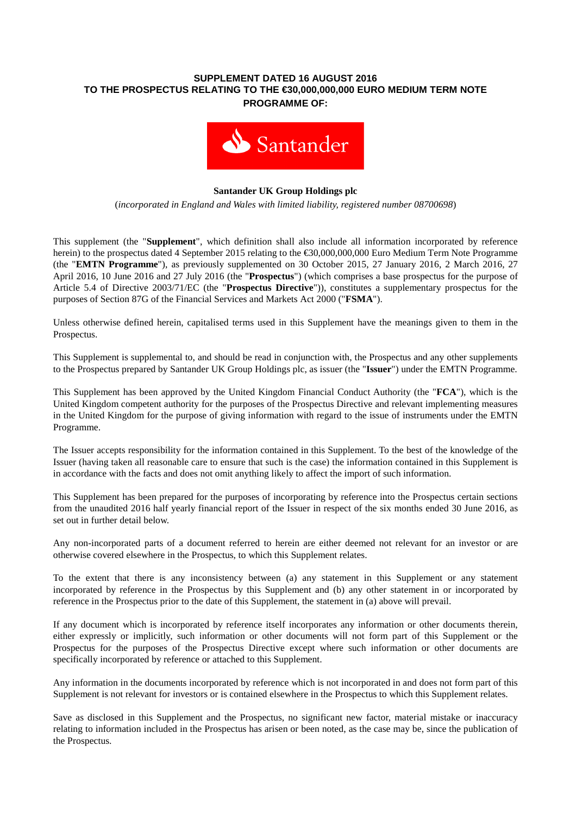## **SUPPLEMENT DATED 16 AUGUST 2016 TO THE PROSPECTUS RELATING TO THE €30,000,000,000 EURO MEDIUM TERM NOTE PROGRAMME OF:**



## **Santander UK Group Holdings plc**

(*incorporated in England and Wales with limited liability, registered number 08700698*)

This supplement (the "**Supplement**", which definition shall also include all information incorporated by reference herein) to the prospectus dated 4 September 2015 relating to the €30,000,000,000 Euro Medium Term Note Programme (the "**EMTN Programme**"), as previously supplemented on 30 October 2015, 27 January 2016, 2 March 2016, 27 April 2016, 10 June 2016 and 27 July 2016 (the "**Prospectus**") (which comprises a base prospectus for the purpose of Article 5.4 of Directive 2003/71/EC (the "**Prospectus Directive**")), constitutes a supplementary prospectus for the purposes of Section 87G of the Financial Services and Markets Act 2000 ("**FSMA**").

Unless otherwise defined herein, capitalised terms used in this Supplement have the meanings given to them in the Prospectus.

This Supplement is supplemental to, and should be read in conjunction with, the Prospectus and any other supplements to the Prospectus prepared by Santander UK Group Holdings plc, as issuer (the "**Issuer**") under the EMTN Programme.

This Supplement has been approved by the United Kingdom Financial Conduct Authority (the "**FCA**"), which is the United Kingdom competent authority for the purposes of the Prospectus Directive and relevant implementing measures in the United Kingdom for the purpose of giving information with regard to the issue of instruments under the EMTN Programme.

The Issuer accepts responsibility for the information contained in this Supplement. To the best of the knowledge of the Issuer (having taken all reasonable care to ensure that such is the case) the information contained in this Supplement is in accordance with the facts and does not omit anything likely to affect the import of such information.

This Supplement has been prepared for the purposes of incorporating by reference into the Prospectus certain sections from the unaudited 2016 half yearly financial report of the Issuer in respect of the six months ended 30 June 2016, as set out in further detail below.

Any non-incorporated parts of a document referred to herein are either deemed not relevant for an investor or are otherwise covered elsewhere in the Prospectus, to which this Supplement relates.

To the extent that there is any inconsistency between (a) any statement in this Supplement or any statement incorporated by reference in the Prospectus by this Supplement and (b) any other statement in or incorporated by reference in the Prospectus prior to the date of this Supplement, the statement in (a) above will prevail.

If any document which is incorporated by reference itself incorporates any information or other documents therein, either expressly or implicitly, such information or other documents will not form part of this Supplement or the Prospectus for the purposes of the Prospectus Directive except where such information or other documents are specifically incorporated by reference or attached to this Supplement.

Any information in the documents incorporated by reference which is not incorporated in and does not form part of this Supplement is not relevant for investors or is contained elsewhere in the Prospectus to which this Supplement relates.

Save as disclosed in this Supplement and the Prospectus, no significant new factor, material mistake or inaccuracy relating to information included in the Prospectus has arisen or been noted, as the case may be, since the publication of the Prospectus.